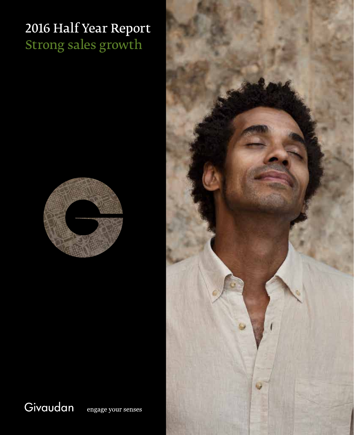# 2016 Half Year Report Strong sales growth



Givaudan

engage your senses

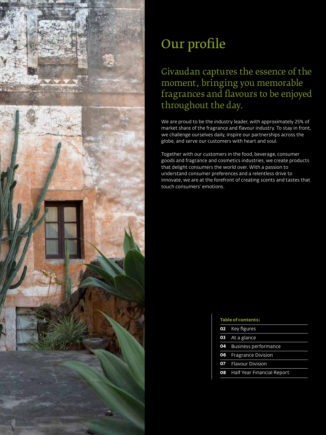

# Our profile

# Givaudan captures the essence of the moment, bringing you memorable fragrances and flavours to be enjoyed throughout the day.

We are proud to be the industry leader, with approximately 25% of market share of the fragrance and flavour industry. To stay in front, we challenge ourselves daily, inspire our partnerships across the globe, and serve our customers with heart and soul.

Together with our customers in the food, beverage, consumer goods and fragrance and cosmetics industries, we create products that delight consumers the world over. With a passion to understand consumer preferences and a relentless drive to innovate, we are at the forefront of creating scents and tastes that touch consumers' emotions.

| <b>Table of contents:</b>            |  |  |  |
|--------------------------------------|--|--|--|
| 02 Key figures                       |  |  |  |
| <b>03</b> At a glance                |  |  |  |
| <b>04</b> Business performance       |  |  |  |
| <b>06</b> Fragrance Division         |  |  |  |
| <b>07</b> Flavour Division           |  |  |  |
| <b>08</b> Half Year Financial Report |  |  |  |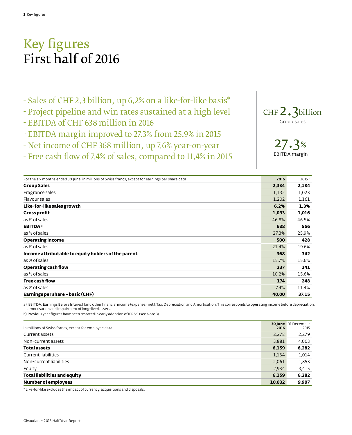# Key figures First half of 2016

- Sales of CHF 2.3 billion, up 6.2% on a like-for-like basis\*
- Project pipeline and win rates sustained at a high level
- EBITDA of CHF 638 million in 2016
- EBITDA margin improved to 27.3% from 25.9% in 2015
- Net income of CHF 368 million, up 7.6% year-on-year
- Free cash flow of 7.4% of sales, compared to 11.4% in 2015



27.3% EBITDA margin

| For the six months ended 30 June, in millions of Swiss francs, except for earnings per share data | 2016  | 2015 <sup>b</sup> |
|---------------------------------------------------------------------------------------------------|-------|-------------------|
| <b>Group Sales</b>                                                                                | 2,334 | 2,184             |
| Fragrance sales                                                                                   | 1,132 | 1,023             |
| Flavour sales                                                                                     | 1,202 | 1,161             |
| Like-for-like sales growth                                                                        | 6.2%  | 1.3%              |
| <b>Gross profit</b>                                                                               | 1,093 | 1,016             |
| as % of sales                                                                                     | 46.8% | 46.5%             |
| <b>EBITDA</b> <sup>a</sup>                                                                        | 638   | 566               |
| as % of sales                                                                                     | 27.3% | 25.9%             |
| <b>Operating income</b>                                                                           | 500   | 428               |
| as % of sales                                                                                     | 21.4% | 19.6%             |
| Income attributable to equity holders of the parent                                               | 368   | 342               |
| as % of sales                                                                                     | 15.7% | 15.6%             |
| Operating cash flow                                                                               | 237   | 341               |
| as % of sales                                                                                     | 10.2% | 15.6%             |
| Free cash flow                                                                                    | 174   | 248               |
| as % of sales                                                                                     | 7.4%  | 11.4%             |
| Earnings per share - basic (CHF)                                                                  | 40.00 | 37.15             |

a) EBITDA: Earnings Before Interest (and other financial income (expense), net), Tax, Depreciation and Amortisation. This corresponds to operating income before depreciation, amortisation and impairment of long-lived assets.

b) Previous year figures have been restated in early adoption of IFRS 9 (see Note 3)

|                                                       |        | <b>30 June</b> 31 December |
|-------------------------------------------------------|--------|----------------------------|
| in millions of Swiss francs, except for employee data | 2016   | 2015                       |
| Current assets                                        | 2,278  | 2,279                      |
| Non-current assets                                    | 3,881  | 4,003                      |
| <b>Total assets</b>                                   | 6,159  | 6,282                      |
| Current liabilities                                   | 1,164  | 1,014                      |
| Non-current liabilities                               | 2,061  | 1,853                      |
| Equity                                                | 2,934  | 3,415                      |
| Total liabilities and equity                          | 6,159  | 6,282                      |
| <b>Number of employees</b>                            | 10,032 | 9,907                      |

\* Like-for-like excludes the impact of currency, acquisitions and disposals.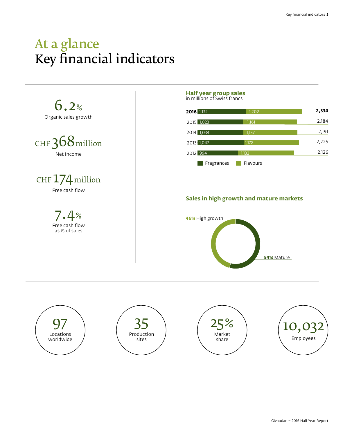# At a glance Key financial indicators

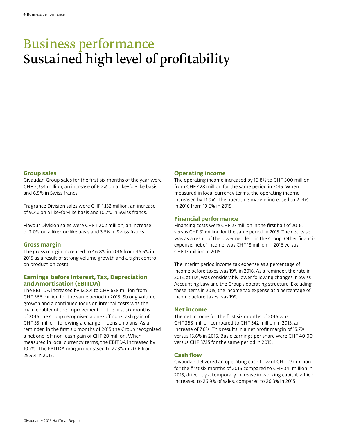# Business performance Sustained high level of profitability

### **Group sales**

Givaudan Group sales for the first six months of the year were CHF 2,334 million, an increase of 6.2% on a like-for-like basis and 6.9% in Swiss francs.

Fragrance Division sales were CHF 1,132 million, an increase of 9.7% on a like-for-like basis and 10.7% in Swiss francs.

Flavour Division sales were CHF 1,202 million, an increase of 3.0% on a like-for-like basis and 3.5% in Swiss francs.

# **Gross margin**

The gross margin increased to 46.8% in 2016 from 46.5% in 2015 as a result of strong volume growth and a tight control on production costs.

# **Earnings before Interest, Tax, Depreciation and Amortisation (EBITDA)**

The EBITDA increased by 12.8% to CHF 638 million from CHF 566 million for the same period in 2015. Strong volume growth and a continued focus on internal costs was the main enabler of the improvement. In the first six months of 2016 the Group recognised a one-off non-cash gain of CHF 55 million, following a change in pension plans. As a reminder, in the first six months of 2015 the Group recognised a net one-off non-cash gain of CHF 20 million. When measured in local currency terms, the EBITDA increased by 10.7%. The EBITDA margin increased to 27.3% in 2016 from 25.9% in 2015.

### **Operating income**

The operating income increased by 16.8% to CHF 500 million from CHF 428 million for the same period in 2015. When measured in local currency terms, the operating income increased by 13.9%. The operating margin increased to 21.4% in 2016 from 19.6% in 2015.

### **Financial performance**

Financing costs were CHF 27 million in the first half of 2016, versus CHF 31 million for the same period in 2015. The decrease was as a result of the lower net debt in the Group. Other financial expense, net of income, was CHF 18 million in 2016 versus CHF 13 million in 2015.

The interim period income tax expense as a percentage of income before taxes was 19% in 2016. As a reminder, the rate in 2015, at 11%, was considerably lower following changes in Swiss Accounting Law and the Group's operating structure. Excluding these items in 2015, the income tax expense as a percentage of income before taxes was 19%.

# **Net income**

The net income for the first six months of 2016 was CHF 368 million compared to CHF 342 million in 2015, an increase of 7.6%. This results in a net profit margin of 15.7% versus 15.6% in 2015. Basic earnings per share were CHF 40.00 versus CHF 37.15 for the same period in 2015.

# **Cash flow**

Givaudan delivered an operating cash flow of CHF 237 million for the first six months of 2016 compared to CHF 341 million in 2015, driven by a temporary increase in working capital, which increased to 26.9% of sales, compared to 26.3% in 2015.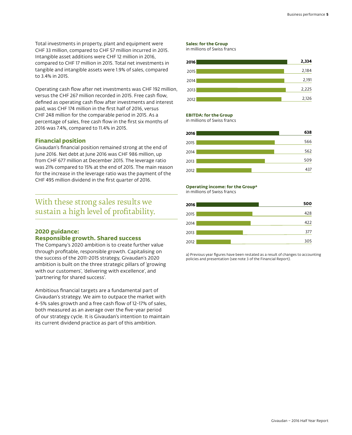Total investments in property, plant and equipment were CHF 33 million, compared to CHF 57 million incurred in 2015. Intangible asset additions were CHF 12 million in 2016, compared to CHF 17 million in 2015. Total net investments in tangible and intangible assets were 1.9% of sales, compared to 3.4% in 2015.

Operating cash flow after net investments was CHF 192 million, versus the CHF 267 million recorded in 2015. Free cash flow, defined as operating cash flow after investments and interest paid, was CHF 174 million in the first half of 2016, versus CHF 248 million for the comparable period in 2015. As a percentage of sales, free cash flow in the first six months of 2016 was 7.4%, compared to 11.4% in 2015.

### **Financial position**

Givaudan's financial position remained strong at the end of June 2016. Net debt at June 2016 was CHF 986 million, up from CHF 677 million at December 2015. The leverage ratio was 21% compared to 15% at the end of 2015. The main reason for the increase in the leverage ratio was the payment of the CHF 495 million dividend in the first quarter of 2016.

# With these strong sales results we sustain a high level of profitability.

# **2020 guidance: Responsible growth. Shared success**

The Company's 2020 ambition is to create further value through profitable, responsible growth. Capitalising on the success of the 2011-2015 strategy, Givaudan's 2020 ambition is built on the three strategic pillars of 'growing with our customers', 'delivering with excellence', and 'partnering for shared success'.

Ambitious financial targets are a fundamental part of Givaudan's strategy. We aim to outpace the market with 4-5% sales growth and a free cash flow of 12-17% of sales, both measured as an average over the five-year period of our strategy cycle. It is Givaudan's intention to maintain its current dividend practice as part of this ambition.

#### **Sales: for the Group**

in millions of Swiss francs



#### **EBITDA: for the Group**

in millions of Swiss francs



#### **Operating income: for the Groupa**

in millions of Swiss francs



a) Previous year figures have been restated as a result of changes to accounting policies and presentation (see note 3 of the Financial Report).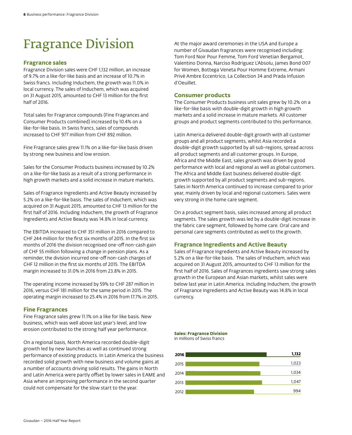# Fragrance Division

#### **Fragrance sales**

Fragrance Division sales were CHF 1,132 million, an increase of 9.7% on a like-for-like basis and an increase of 10.7% in Swiss francs. Including Induchem, the growth was 11.0% in local currency. The sales of Induchem, which was acquired on 31 August 2015, amounted to CHF 13 million for the first half of 2016.

Total sales for Fragrance compounds (Fine Fragrances and Consumer Products combined) increased by 10.4% on a like-for-like basis. In Swiss francs, sales of compounds increased to CHF 977 million from CHF 892 million.

Fine Fragrance sales grew 11.1% on a like-for-like basis driven by strong new business and low erosion.

Sales for the Consumer Products business increased by 10.2% on a like-for-like basis as a result of a strong performance in high growth markets and a solid increase in mature markets.

Sales of Fragrance Ingredients and Active Beauty increased by 5.2% on a like-for-like basis. The sales of Induchem, which was acquired on 31 August 2015, amounted to CHF 13 million for the first half of 2016. Including Induchem, the growth of Fragrance Ingredients and Active Beauty was 14.8% in local currency.

The EBITDA increased to CHF 351 million in 2016 compared to CHF 244 million for the first six months of 2015. In the first six months of 2016 the division recognised one-off non-cash gain of CHF 55 million following a change in pension plans. As a reminder, the division incurred one-off non-cash charges of CHF 12 million in the first six months of 2015. The EBITDA margin increased to 31.0% in 2016 from 23.8% in 2015.

The operating income increased by 59% to CHF 287 million in 2016, versus CHF 181 million for the same period in 2015. The operating margin increased to 25.4% in 2016 from 17.7% in 2015.

#### **Fine Fragrances**

Fine Fragrance sales grew 11.1% on a like for like basis. New business, which was well above last year's level, and low erosion contributed to the strong half year performance.

On a regional basis, North America recorded double-digit growth led by new launches as well as continued strong performance of existing products. In Latin America the business recorded solid growth with new business and volume gains at a number of accounts driving solid results. The gains in North and Latin America were partly offset by lower sales in EAME and Asia where an improving performance in the second quarter could not compensate for the slow start to the year.

At the major award ceremonies in the USA and Europe a number of Givaudan fragrances were recognised including: Tom Ford Noir Pour Femme, Tom Ford Venetian Bergamot, Valentino Donna, Narciso Rodriguez L'Absolu, James Bond 007 for Women, Bottega Veneta Pour Homme Extreme, Armani Privè Ambre Eccentrico, La Collection 34 and Prada Infusion d'Oeuillet.

# **Consumer products**

The Consumer Products business unit sales grew by 10.2% on a like-for-like basis with double-digit growth in high growth markets and a solid increase in mature markets. All customer groups and product segments contributed to this performance.

Latin America delivered double-digit growth with all customer groups and all product segments, whilst Asia recorded a double-digit growth supported by all sub-regions, spread across all product segments and all customer groups. In Europe, Africa and the Middle East, sales growth was driven by good performance with local and regional as well as global customers. The Africa and Middle East business delivered double-digit growth supported by all product segments and sub-regions. Sales in North America continued to increase compared to prior year, mainly driven by local and regional customers. Sales were very strong in the home care segment.

On a product segment basis, sales increased among all product segments. The sales growth was led by a double-digit increase in the fabric care segment, followed by home care. Oral care and personal care segments contributed as well to the growth.

# **Fragrance Ingredients and Active Beauty**

Sales of Fragrance Ingredients and Active Beauty increased by 5.2% on a like-for-like basis. The sales of Induchem, which was acquired on 31 August 2015, amounted to CHF 13 million for the first half of 2016. Sales of Fragrances ingredients saw strong sales growth in the European and Asian markets, whilst sales were below last year in Latin America. Including Induchem, the growth of Fragrance Ingredients and Active Beauty was 14.8% in local currency.

**Sales: Fragrance Division**

in millions of Swiss francs

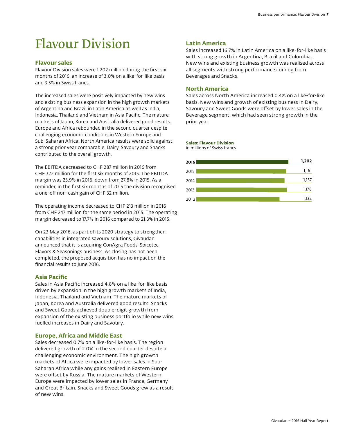# Flavour Division

# **Flavour sales**

Flavour Division sales were 1,202 million during the first six months of 2016, an increase of 3.0% on a like-for-like basis and 3.5% in Swiss francs.

The increased sales were positively impacted by new wins and existing business expansion in the high growth markets of Argentina and Brazil in Latin America as well as India, Indonesia, Thailand and Vietnam in Asia Pacific. The mature markets of Japan, Korea and Australia delivered good results. Europe and Africa rebounded in the second quarter despite challenging economic conditions in Western Europe and Sub-Saharan Africa. North America results were solid against a strong prior year comparable. Dairy, Savoury and Snacks contributed to the overall growth.

The EBITDA decreased to CHF 287 million in 2016 from CHF 322 million for the first six months of 2015. The EBITDA margin was 23.9% in 2016, down from 27.8% in 2015. As a reminder, in the first six months of 2015 the division recognised a one-off non-cash gain of CHF 32 million.

The operating income decreased to CHF 213 million in 2016 from CHF 247 million for the same period in 2015. The operating margin decreased to 17.7% in 2016 compared to 21.3% in 2015.

On 23 May 2016, as part of its 2020 strategy to strengthen capabilities in integrated savoury solutions, Givaudan announced that it is acquiring ConAgra Foods' Spicetec Flavors & Seasonings business. As closing has not been completed, the proposed acquisition has no impact on the financial results to June 2016.

# **Asia Pacific**

Sales in Asia Pacific increased 4.8% on a like-for-like basis driven by expansion in the high growth markets of India, Indonesia, Thailand and Vietnam. The mature markets of Japan, Korea and Australia delivered good results. Snacks and Sweet Goods achieved double-digit growth from expansion of the existing business portfolio while new wins fuelled increases in Dairy and Savoury.

# **Europe, Africa and Middle East**

Sales decreased 0.7% on a like-for-like basis. The region delivered growth of 2.0% in the second quarter despite a challenging economic environment. The high growth markets of Africa were impacted by lower sales in Sub-Saharan Africa while any gains realised in Eastern Europe were offset by Russia. The mature markets of Western Europe were impacted by lower sales in France, Germany and Great Britain. Snacks and Sweet Goods grew as a result of new wins.

# **Latin America**

Sales increased 16.7% in Latin America on a like-for-like basis with strong growth in Argentina, Brazil and Colombia. New wins and existing business growth was realised across all segments with strong performance coming from Beverages and Snacks.

# **North America**

Sales across North America increased 0.4% on a like-for-like basis. New wins and growth of existing business in Dairy, Savoury and Sweet Goods were offset by lower sales in the Beverage segment, which had seen strong growth in the prior year.

### **Sales: Flavour Division**

in millions of Swiss francs

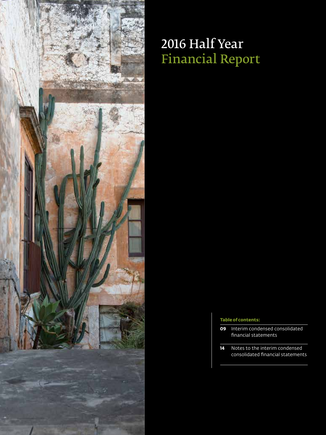

# 2016 Half Year Financial Report

### **Table of contents:**

- **09** Interim condensed consolidated financial statements
- **14** Notes to the interim condensed consolidated financial statements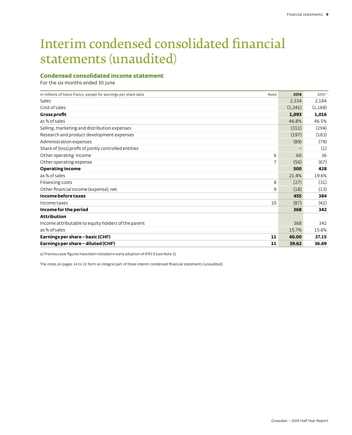# Interim condensed consolidated financial statements (unaudited)

# **Condensed consolidated income statement**

For the six months ended 30 June

| in millions of Swiss francs, except for earnings per share data | Note | 2016    | 2015 <sup>a</sup> |
|-----------------------------------------------------------------|------|---------|-------------------|
| Sales                                                           |      | 2,334   | 2,184             |
| Cost of sales                                                   |      | (1,241) | (1,168)           |
| <b>Gross profit</b>                                             |      | 1,093   | 1,016             |
| as % of sales                                                   |      | 46.8%   | 46.5%             |
| Selling, marketing and distribution expenses                    |      | (311)   | (294)             |
| Research and product development expenses                       |      | (197)   | (183)             |
| Administration expenses                                         |      | (89)    | (79)              |
| Share of (loss) profit of jointly controlled entities           |      |         | (1)               |
| Other operating income                                          | 6    | 60      | 36                |
| Other operating expense                                         | 7    | (56)    | (67)              |
| <b>Operating income</b>                                         |      | 500     | 428               |
| as % of sales                                                   |      | 21.4%   | 19.6%             |
| Financing costs                                                 | 8    | (27)    | (31)              |
| Other financial income (expense), net                           | 9    | (18)    | (13)              |
| Income before taxes                                             |      | 455     | 384               |
| Income taxes                                                    | 10   | (87)    | (42)              |
| Income for the period                                           |      | 368     | 342               |
| <b>Attribution</b>                                              |      |         |                   |
| Income attributable to equity holders of the parent             |      | 368     | 342               |
| as % of sales                                                   |      | 15.7%   | 15.6%             |
| Earnings per share - basic (CHF)                                | 11   | 40.00   | 37.15             |
| Earnings per share - diluted (CHF)                              | 11   | 39.62   | 36.69             |

a) Previous year figures have been restated in early adoption of IFRS 9 (see Note 3).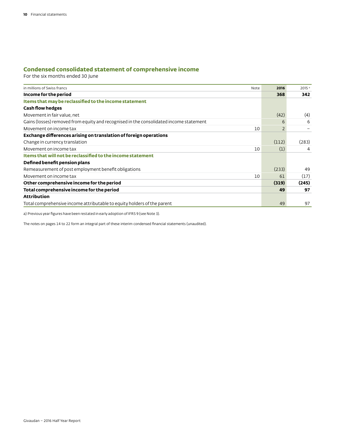# **Condensed consolidated statement of comprehensive income**

For the six months ended 30 June

| in millions of Swiss francs                                                            | Note | 2016  | 2015 <sup>a</sup> |
|----------------------------------------------------------------------------------------|------|-------|-------------------|
| Income for the period                                                                  |      | 368   | 342               |
| Items that may be reclassified to the income statement                                 |      |       |                   |
| <b>Cash flow hedges</b>                                                                |      |       |                   |
| Movement in fair value, net                                                            |      | (42)  | (4)               |
| Gains (losses) removed from equity and recognised in the consolidated income statement |      | 6     | 6                 |
| Movement on income tax                                                                 | 10   |       |                   |
| Exchange differences arising on translation of foreign operations                      |      |       |                   |
| Change in currency translation                                                         |      | (112) | (283)             |
| Movement on income tax                                                                 | 10   | (1)   | 4                 |
| Items that will not be reclassified to the income statement                            |      |       |                   |
| Defined benefit pension plans                                                          |      |       |                   |
| Remeasurement of post employment benefit obligations                                   |      | (233) | 49                |
| Movement on income tax                                                                 | 10   | 61    | (17)              |
| Other comprehensive income for the period                                              |      | (319) | (245)             |
| Total comprehensive income for the period                                              |      | 49    | 97                |
| <b>Attribution</b>                                                                     |      |       |                   |
| Total comprehensive income attributable to equity holders of the parent                |      | 49    | 97                |

a) Previous year figures have been restated in early adoption of IFRS 9 (see Note 3).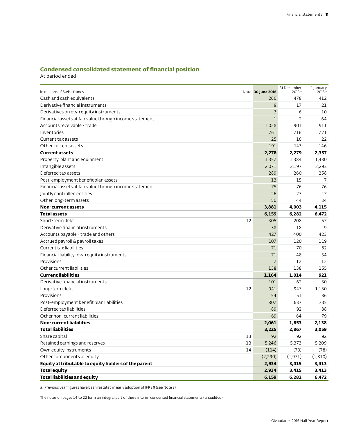# **Condensed consolidated statement of financial position**

At period ended

| in millions of Swiss francs                             | Note 30 June 2016 | 31 December<br>2015 <sup>a</sup> | 1 January<br>2015 <sup>a</sup> |
|---------------------------------------------------------|-------------------|----------------------------------|--------------------------------|
| Cash and cash equivalents                               | 260               | 478                              | 412                            |
| Derivative financial instruments                        | 9                 | 17                               | 21                             |
| Derivatives on own equity instruments                   | 3                 | 6                                | 10                             |
| Financial assets at fair value through income statement | $\mathbf{1}$      | $\overline{2}$                   | 64                             |
| Accounts receivable - trade                             | 1,028             | 901                              | 911                            |
| Inventories                                             | 761               | 716                              | 771                            |
| Current tax assets                                      | 25                | 16                               | 22                             |
| Other current assets                                    | 191               | 143                              | 146                            |
| <b>Current assets</b>                                   | 2,278             | 2,279                            | 2,357                          |
| Property, plant and equipment                           | 1,357             | 1,384                            | 1,430                          |
| Intangible assets                                       | 2,071             | 2,197                            | 2,293                          |
| Deferred tax assets                                     | 289               | 260                              | 258                            |
| Post-employment benefit plan assets                     | 13                | 15                               | 7                              |
| Financial assets at fair value through income statement | 75                | 76                               | 76                             |
| Jointly controlled entities                             | 26                | 27                               | 17                             |
| Other long-term assets                                  | 50                | 44                               | 34                             |
| <b>Non-current assets</b>                               | 3,881             | 4,003                            | 4,115                          |
| <b>Total assets</b>                                     | 6,159             | 6,282                            | 6,472                          |
| 12<br>Short-term debt                                   | 305               | 208                              | 57                             |
| Derivative financial instruments                        | 38                | 18                               | 19                             |
| Accounts payable - trade and others                     | 427               | 400                              | 423                            |
| Accrued payroll & payroll taxes                         | 107               | 120                              | 119                            |
| Current tax liabilities                                 | 71                | 70                               | 82                             |
| Financial liability: own equity instruments             | 71                | 48                               | 54                             |
| Provisions                                              | 7                 | 12                               | 12                             |
| Other current liabilities                               | 138               | 138                              | 155                            |
| <b>Current liabilities</b>                              | 1,164             | 1,014                            | 921                            |
| Derivative financial instruments                        | 101               | 62                               | 50                             |
| 12<br>Long-term debt                                    | 941               | 947                              | 1,150                          |
| Provisions                                              | 54                | 51                               | 36                             |
| Post-employment benefit plan liabilities                | 807               | 637                              | 735                            |
| Deferred tax liabilities                                | 89                | 92                               | 88                             |
| Other non-current liabilities                           | 69                | 64                               | 79                             |
| <b>Non-current liabilities</b>                          | 2,061             | 1,853                            | 2,138                          |
| <b>Total liabilities</b>                                | 3,225             | 2,867                            | 3,059                          |
| 13<br>Share capital                                     | 92                | 92                               | 92                             |
| 13<br>Retained earnings and reserves                    | 5,246             | 5,373                            | 5.209                          |
| 14<br>Own equity instruments                            | (114)             | (79)                             | (78)                           |
| Other components of equity                              | (2,290)           | (1,971)                          | (1, 810)                       |
| Equity attributable to equity holders of the parent     | 2,934             | 3,415                            | 3,413                          |
| <b>Total equity</b>                                     | 2,934             | 3,415                            | 3,413                          |
| <b>Total liabilities and equity</b>                     | 6,159             | 6,282                            | 6,472                          |

a) Previous year figures have been restated in early adoption of IFRS 9 (see Note 3).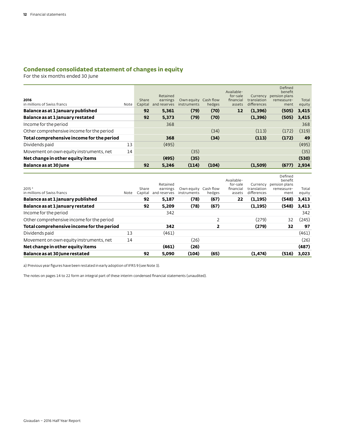# **Condensed consolidated statement of changes in equity**

For the six months ended 30 June

| 2016<br>in millions of Swiss francs       | Note | Share<br>Capital | Retained<br>earnings<br>and reserves | Own equity<br>instruments | Cash flow<br>hedges | Available-<br>for-sale<br>financial<br>assets | Currency<br>translation<br>differences | Defined<br>benefit<br>pension plans<br>remeasure-<br>ment | Total<br>equity |
|-------------------------------------------|------|------------------|--------------------------------------|---------------------------|---------------------|-----------------------------------------------|----------------------------------------|-----------------------------------------------------------|-----------------|
| Balance as at 1 January published         |      | 92               | 5.361                                | (79)                      | (70)                | 12                                            | (1,396)                                | (505)                                                     | 3,415           |
| Balance as at 1 January restated          |      | 92               | 5,373                                | (79)                      | (70)                |                                               | (1,396)                                | (505)                                                     | 3,415           |
| Income for the period                     |      |                  | 368                                  |                           |                     |                                               |                                        |                                                           | 368             |
| Other comprehensive income for the period |      |                  |                                      |                           | (34)                |                                               | (113)                                  | (172)                                                     | (319)           |
| Total comprehensive income for the period |      |                  | 368                                  |                           | (34)                |                                               | (113)                                  | (172)                                                     | 49              |
| Dividends paid                            | 13   |                  | (495)                                |                           |                     |                                               |                                        |                                                           | (495)           |
| Movement on own equity instruments, net   | 14   |                  |                                      | (35)                      |                     |                                               |                                        |                                                           | (35)            |
| Net change in other equity items          |      |                  | (495)                                | (35)                      |                     |                                               |                                        |                                                           | (530)           |
| Balance as at 30 June                     |      | 92               | 5.246                                | (114)                     | (104)               |                                               | (1.509)                                | (677)                                                     | 2.934           |

|                                           |      |         |              |                      |                |            |             | Defined       |        |
|-------------------------------------------|------|---------|--------------|----------------------|----------------|------------|-------------|---------------|--------|
|                                           |      |         |              |                      |                | Available- |             | benefit       |        |
|                                           |      |         | Retained     |                      |                | for-sale   | Currency    | pension plans |        |
| 2015 <sup>a</sup>                         |      | Share   | earnings     | Own equity Cash flow |                | financial  | translation | remeasure-    | Total  |
| in millions of Swiss francs               | Note | Capital | and reserves | instruments          | hedges         | assets     | differences | ment          | equity |
| Balance as at 1 January published         |      | 92      | 5,187        | (78)                 | (67)           | 22         | (1, 195)    | (548)         | 3,413  |
| Balance as at 1 January restated          |      | 92      | 5.209        | (78)                 | (67)           |            | (1, 195)    | (548)         | 3,413  |
| Income for the period                     |      |         | 342          |                      |                |            |             |               | 342    |
| Other comprehensive income for the period |      |         |              |                      | $\overline{2}$ |            | (279)       | 32            | (245)  |
| Total comprehensive income for the period |      |         | 342          |                      | 2              |            | (279)       | 32            | 97     |
| Dividends paid                            | 13   |         | (461)        |                      |                |            |             |               | (461)  |
| Movement on own equity instruments, net   | 14   |         |              | (26)                 |                |            |             |               | (26)   |
| Net change in other equity items          |      |         | (461)        | (26)                 |                |            |             |               | (487)  |
| Balance as at 30 June restated            |      | 92      | 5.090        | (104)                | (65)           |            | (1, 474)    | (516)         | 3.023  |

a) Previous year figures have been restated in early adoption of IFRS 9 (see Note 3).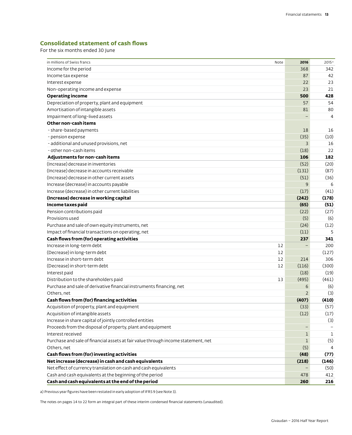# **Consolidated statement of cash flows**

For the six months ended 30 June

| in millions of Swiss francs<br>Note                                               | 2016              | 2015 <sup>a</sup> |
|-----------------------------------------------------------------------------------|-------------------|-------------------|
| Income for the period                                                             | 368               | 342               |
| Income tax expense                                                                | 87                | 42                |
| Interest expense                                                                  | 22                | 23                |
| Non-operating income and expense                                                  | 23                | 21                |
| <b>Operating income</b>                                                           | 500               | 428               |
| Depreciation of property, plant and equipment                                     | 57                | 54                |
| Amortisation of intangible assets                                                 | 81                | 80                |
| Impairment of long-lived assets                                                   |                   | 4                 |
| Other non-cash items                                                              |                   |                   |
| - share-based payments                                                            | 18                | 16                |
| - pension expense                                                                 | (35)              | (10)              |
| - additional and unused provisions, net                                           | 3                 | 16                |
| - other non-cash items                                                            | (18)              | 22                |
| Adjustments for non-cash items                                                    | 106               | 182               |
| (Increase) decrease in inventories                                                | (52)              | (20)              |
| (Increase) decrease in accounts receivable                                        | (131)             | (87)              |
| (Increase) decrease in other current assets                                       | (51)              | (36)              |
| Increase (decrease) in accounts payable                                           | $\overline{9}$    | 6                 |
| Increase (decrease) in other current liabilities                                  | (17)              | (41)              |
| (Increase) decrease in working capital                                            | (242)             | (178)             |
| Income taxes paid                                                                 | (65)              | (51)              |
| Pension contributions paid                                                        | (22)              | (27)              |
| Provisions used                                                                   | (5)               | (6)               |
| Purchase and sale of own equity instruments, net                                  | (24)              | (12)              |
| Impact of financial transactions on operating, net                                | (11)              | 5                 |
| Cash flows from (for) operating activities                                        | 237               | 341               |
| Increase in long-term debt<br>12                                                  |                   | 200               |
| 12<br>(Decrease) in long-term debt                                                |                   | (127)             |
| Increase in short-term debt<br>12                                                 | 214               | 306               |
| (Decrease) in short-term debt<br>12                                               | (116)             | (300)             |
| Interest paid                                                                     | (18)              | (19)              |
| Distribution to the shareholders paid<br>13                                       | (495)             | (461)             |
| Purchase and sale of derivative financial instruments financing, net              | 6                 | (6)               |
| Others, net                                                                       | $\overline{2}$    | (3)               |
| Cash flows from (for) financing activities                                        | (407)             | (410)             |
| Acquisition of property, plant and equipment                                      | (33)              | (57)              |
| Acquisition of intangible assets                                                  | (12)              | (17)              |
| Increase in share capital of jointly controlled entities                          |                   | (3)               |
| Proceeds from the disposal of property, plant and equipment                       | $\qquad \qquad -$ |                   |
| Interest received                                                                 | $\mathbf{1}$      | $\mathbf{1}$      |
| Purchase and sale of financial assets at fair value through income statement, net | $\mathbf 1$       | (5)               |
| Others, net                                                                       | (5)               | 4                 |
| Cash flows from (for) investing activities                                        | (48)              | (77)              |
| Net increase (decrease) in cash and cash equivalents                              | (218)             | (146)             |
| Net effect of currency translation on cash and cash equivalents                   |                   | (50)              |
| Cash and cash equivalents at the beginning of the period                          | 478               | 412               |
| Cash and cash equivalents at the end of the period                                | 260               | 216               |

a) Previous year figures have been restated in early adoption of IFRS 9 (see Note 3).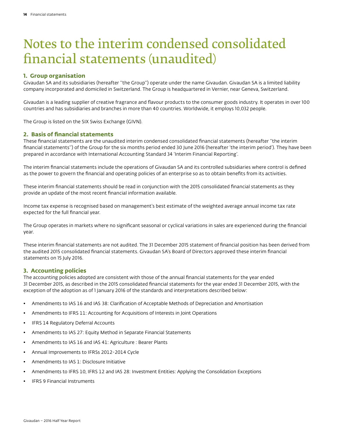# Notes to the interim condensed consolidated financial statements (unaudited)

# **1. Group organisation**

Givaudan SA and its subsidiaries (hereafter ''the Group'') operate under the name Givaudan. Givaudan SA is a limited liability company incorporated and domiciled in Switzerland. The Group is headquartered in Vernier, near Geneva, Switzerland.

Givaudan is a leading supplier of creative fragrance and flavour products to the consumer goods industry. It operates in over 100 countries and has subsidiaries and branches in more than 40 countries. Worldwide, it employs 10,032 people.

The Group is listed on the SIX Swiss Exchange (GIVN).

### **2. Basis of financial statements**

These financial statements are the unaudited interim condensed consolidated financial statements (hereafter ''the interim financial statements'') of the Group for the six months period ended 30 June 2016 (hereafter 'the interim period'). They have been prepared in accordance with International Accounting Standard 34 'Interim Financial Reporting'.

The interim financial statements include the operations of Givaudan SA and its controlled subsidiaries where control is defined as the power to govern the financial and operating policies of an enterprise so as to obtain benefits from its activities.

These interim financial statements should be read in conjunction with the 2015 consolidated financial statements as they provide an update of the most recent financial information available.

Income tax expense is recognised based on management's best estimate of the weighted average annual income tax rate expected for the full financial year.

The Group operates in markets where no significant seasonal or cyclical variations in sales are experienced during the financial year.

These interim financial statements are not audited. The 31 December 2015 statement of financial position has been derived from the audited 2015 consolidated financial statements. Givaudan SA's Board of Directors approved these interim financial statements on 15 July 2016.

# **3. Accounting policies**

The accounting policies adopted are consistent with those of the annual financial statements for the year ended 31 December 2015, as described in the 2015 consolidated financial statements for the year ended 31 December 2015, with the exception of the adoption as of 1 January 2016 of the standards and interpretations described below:

- Amendments to IAS 16 and IAS 38: Clarification of Acceptable Methods of Depreciation and Amortisation
- Amendments to IFRS 11: Accounting for Acquisitions of Interests in Joint Operations
- IFRS 14 Regulatory Deferral Accounts
- Amendments to IAS 27: Equity Method in Separate Financial Statements
- Amendments to IAS 16 and IAS 41: Agriculture : Bearer Plants
- Annual Improvements to IFRSs 2012-2014 Cycle
- Amendments to IAS 1: Disclosure Initiative
- Amendments to IFRS 10, IFRS 12 and IAS 28: Investment Entities: Applying the Consolidation Exceptions
- IFRS 9 Financial Instruments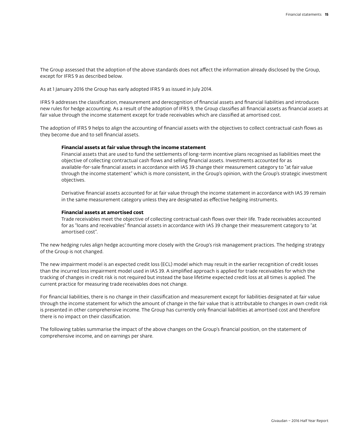The Group assessed that the adoption of the above standards does not affect the information already disclosed by the Group, except for IFRS 9 as described below.

As at 1 January 2016 the Group has early adopted IFRS 9 as issued in July 2014.

IFRS 9 addresses the classification, measurement and derecognition of financial assets and financial liabilities and introduces new rules for hedge accounting. As a result of the adoption of IFRS 9, the Group classifies all financial assets as financial assets at fair value through the income statement except for trade receivables which are classified at amortised cost.

The adoption of IFRS 9 helps to align the accounting of financial assets with the objectives to collect contractual cash flows as they become due and to sell financial assets.

#### **Financial assets at fair value through the income statement**

Financial assets that are used to fund the settlements of long-term incentive plans recognised as liabilities meet the objective of collecting contractual cash flows and selling financial assets. Investments accounted for as available-for-sale financial assets in accordance with IAS 39 change their measurement category to "at fair value through the income statement" which is more consistent, in the Group's opinion, with the Group's strategic investment objectives.

Derivative financial assets accounted for at fair value through the income statement in accordance with IAS 39 remain in the same measurement category unless they are designated as effective hedging instruments.

#### **Financial assets at amortised cost**

Trade receivables meet the objective of collecting contractual cash flows over their life. Trade receivables accounted for as "loans and receivables" financial assets in accordance with IAS 39 change their measurement category to "at amortised cost".

The new hedging rules align hedge accounting more closely with the Group's risk management practices. The hedging strategy of the Group is not changed.

The new impairment model is an expected credit loss (ECL) model which may result in the earlier recognition of credit losses than the incurred loss impairment model used in IAS 39. A simplified approach is applied for trade receivables for which the tracking of changes in credit risk is not required but instead the base lifetime expected credit loss at all times is applied. The current practice for measuring trade receivables does not change.

For financial liabilities, there is no change in their classification and measurement except for liabilities designated at fair value through the income statement for which the amount of change in the fair value that is attributable to changes in own credit risk is presented in other comprehensive income. The Group has currently only financial liabilities at amortised cost and therefore there is no impact on their classification.

The following tables summarise the impact of the above changes on the Group's financial position, on the statement of comprehensive income, and on earnings per share.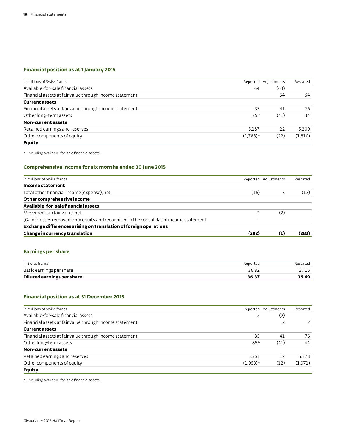# **Financial position as at 1 January 2015**

| in millions of Swiss francs                             |                        | Reported Adjustments | Restated |
|---------------------------------------------------------|------------------------|----------------------|----------|
| Available-for-sale financial assets                     | 64                     | (64)                 |          |
| Financial assets at fair value through income statement |                        | 64                   | 64       |
| <b>Current assets</b>                                   |                        |                      |          |
| Financial assets at fair value through income statement | 35                     | 41                   | 76       |
| Other long-term assets                                  | 75 <sup>a</sup>        | (41)                 | 34       |
| Non-current assets                                      |                        |                      |          |
| Retained earnings and reserves                          | 5.187                  | 22                   | 5.209    |
| Other components of equity                              | $(1,788)$ <sup>a</sup> | (22)                 | (1, 810) |
| Equity                                                  |                        |                      |          |

a) Including available-for-sale financial assets.

# **Comprehensive income for six months ended 30 June 2015**

| Change in currency translation                                                         | (282) | (1)                  | (283)    |
|----------------------------------------------------------------------------------------|-------|----------------------|----------|
| Exchange differences arising on translation of foreign operations                      |       |                      |          |
| (Gains) losses removed from equity and recognised in the consolidated income statement |       |                      |          |
| Movements in fair value, net                                                           |       | (2)                  |          |
| Available-for-sale financial assets                                                    |       |                      |          |
| Other comprehensive income                                                             |       |                      |          |
| Total other financial income (expense), net                                            | (16)  |                      | (13)     |
| Income statement                                                                       |       |                      |          |
| in millions of Swiss francs                                                            |       | Reported Adjustments | Restated |

# **Earnings per share**

| in Swiss francs            | Reported | Restated |
|----------------------------|----------|----------|
| Basic earnings per share   | 36.82    | 37.15    |
| Diluted earnings per share | 36.37    | 36.69    |

# **Financial position as at 31 December 2015**

| in millions of Swiss francs                             |                        | Reported Adjustments | Restated |
|---------------------------------------------------------|------------------------|----------------------|----------|
| Available-for-sale financial assets                     |                        | (2)                  |          |
| Financial assets at fair value through income statement |                        |                      |          |
| <b>Current assets</b>                                   |                        |                      |          |
| Financial assets at fair value through income statement | 35                     | 41                   | 76       |
| Other long-term assets                                  | 85 <sup>a</sup>        | (41)                 | 44       |
| Non-current assets                                      |                        |                      |          |
| Retained earnings and reserves                          | 5.361                  | 12                   | 5.373    |
| Other components of equity                              | $(1,959)$ <sup>a</sup> | (12)                 | (1,971)  |
| <b>Equity</b>                                           |                        |                      |          |

a) Including available-for-sale financial assets.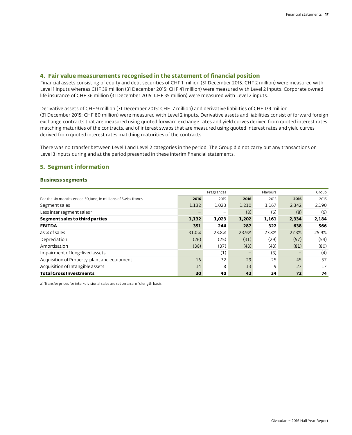### **4. Fair value measurements recognised in the statement of financial position**

Financial assets consisting of equity and debt securities of CHF 1 million (31 December 2015: CHF 2 million) were measured with Level 1 inputs whereas CHF 39 million (31 December 2015: CHF 41 million) were measured with Level 2 inputs. Corporate owned life insurance of CHF 36 million (31 December 2015: CHF 35 million) were measured with Level 2 inputs.

Derivative assets of CHF 9 million (31 December 2015: CHF 17 million) and derivative liabilities of CHF 139 million (31 December 2015: CHF 80 million) were measured with Level 2 inputs. Derivative assets and liabilities consist of forward foreign exchange contracts that are measured using quoted forward exchange rates and yield curves derived from quoted interest rates matching maturities of the contracts, and of interest swaps that are measured using quoted interest rates and yield curves derived from quoted interest rates matching maturities of the contracts.

There was no transfer between Level 1 and Level 2 categories in the period. The Group did not carry out any transactions on Level 3 inputs during and at the period presented in these interim financial statements.

# **5. Segment information**

#### **Business segments**

|                                                               |       | Fragrances |       | Flavours |       | Group |
|---------------------------------------------------------------|-------|------------|-------|----------|-------|-------|
| For the six months ended 30 June, in millions of Swiss francs | 2016  | 2015       | 2016  | 2015     | 2016  | 2015  |
| Segment sales                                                 | 1,132 | 1,023      | 1,210 | 1,167    | 2,342 | 2,190 |
| Less inter segment sales <sup>a</sup>                         |       |            | (8)   | (6)      | (8)   | (6)   |
| Segment sales to third parties                                | 1,132 | 1,023      | 1,202 | 1,161    | 2,334 | 2,184 |
| <b>EBITDA</b>                                                 | 351   | 244        | 287   | 322      | 638   | 566   |
| as % of sales                                                 | 31.0% | 23.8%      | 23.9% | 27.8%    | 27.3% | 25.9% |
| Depreciation                                                  | (26)  | (25)       | (31)  | (29)     | (57)  | (54)  |
| Amortisation                                                  | (38)  | (37)       | (43)  | (43)     | (81)  | (80)  |
| Impairment of long-lived assets                               |       | (1)        | -     | (3)      |       | (4)   |
| Acquisition of Property, plant and equipment                  | 16    | 32         | 29    | 25       | 45    | 57    |
| Acquisition of Intangible assets                              | 14    | 8          | 13    | 9        | 27    | 17    |
| <b>Total Gross Investments</b>                                | 30    | 40         | 42    | 34       | 72    | 74    |

a) Transfer prices for inter-divisional sales are set on an arm's length basis.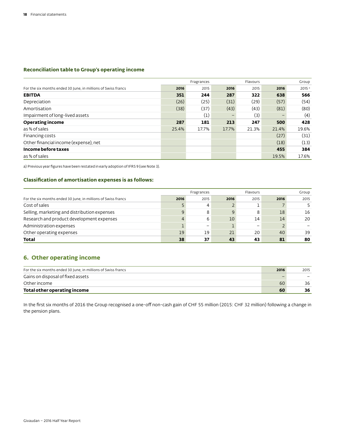# **Reconciliation table to Group's operating income**

|                                                               |       | Fragrances       |                          | Flavours |       | Group             |
|---------------------------------------------------------------|-------|------------------|--------------------------|----------|-------|-------------------|
| For the six months ended 30 June, in millions of Swiss francs | 2016  | 2015             | 2016                     | 2015     | 2016  | 2015 <sup>a</sup> |
| <b>EBITDA</b>                                                 | 351   | 244              | 287                      | 322      | 638   | 566               |
| Depreciation                                                  | (26)  | (25)             | (31)                     | (29)     | (57)  | (54)              |
| Amortisation                                                  | (38)  | (37)             | (43)                     | (43)     | (81)  | (80)              |
| Impairment of long-lived assets                               |       | $\left(1\right)$ | $\overline{\phantom{0}}$ | (3)      |       | (4)               |
| <b>Operating income</b>                                       | 287   | 181              | 213                      | 247      | 500   | 428               |
| as % of sales                                                 | 25.4% | 17.7%            | 17.7%                    | 21.3%    | 21.4% | 19.6%             |
| Financing costs                                               |       |                  |                          |          | (27)  | (31)              |
| Other financial income (expense), net                         |       |                  |                          |          | (18)  | (13)              |
| Income before taxes                                           |       |                  |                          |          | 455   | 384               |
| as % of sales                                                 |       |                  |                          |          | 19.5% | 17.6%             |

a) Previous year figures have been restated in early adoption of IFRS 9 (see Note 3).

# **Classification of amortisation expenses is as follows:**

|                                                               |      | Fragrances |                 | Flavours |      | Group |
|---------------------------------------------------------------|------|------------|-----------------|----------|------|-------|
| For the six months ended 30 June, in millions of Swiss francs | 2016 | 2015       | 2016            | 2015     | 2016 | 2015  |
| Cost of sales                                                 |      | 4          |                 |          |      |       |
| Selling, marketing and distribution expenses                  |      | 8          | 9               | 8        | 18   | 16    |
| Research and product development expenses                     |      | 6          | 10 <sup>°</sup> | 14       | 14   | 20    |
| Administration expenses                                       |      |            |                 |          |      |       |
| Other operating expenses                                      | 19   | 19         | 21              | 20       | 40   | 39    |
| Total                                                         | 38   | 37         | 43              | 43       | 81   | 80    |

# **6. Other operating income**

| For the six months ended 30 June, in millions of Swiss francs | 2016 | 2015 |
|---------------------------------------------------------------|------|------|
| Gains on disposal of fixed assets                             |      |      |
| Other income                                                  | 60   | 36   |
| Total other operating income                                  | 60   | 36   |

In the first six months of 2016 the Group recognised a one-off non-cash gain of CHF 55 million (2015: CHF 32 million) following a change in the pension plans.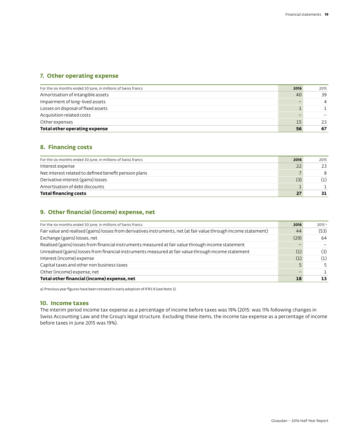# **7. Other operating expense**

| For the six months ended 30 June, in millions of Swiss francs | 2016 | 2015 |
|---------------------------------------------------------------|------|------|
| Amortisation of intangible assets                             | 40   | 39   |
| Impairment of long-lived assets                               |      | 4    |
| Losses on disposal of fixed assets                            |      |      |
| Acquisition related costs                                     |      |      |
| Other expenses                                                | 15   | 23   |
| Total other operating expense                                 | 56   | 67   |

# **8. Financing costs**

| For the six months ended 30 June, in millions of Swiss francs | 2016 | 2015 |
|---------------------------------------------------------------|------|------|
| Interest expense                                              | 22   | 23   |
| Net interest related to defined benefit pension plans         |      | 8    |
| Derivative interest (gains) losses                            | (3)  | (1)  |
| Amortisation of debt discounts                                |      |      |
| <b>Total financing costs</b>                                  | 27   | 31   |

# **9. Other financial (income) expense, net**

| For the six months ended 30 June, in millions of Swiss francs                                                     | 2016 | 2015 <sup>a</sup> |
|-------------------------------------------------------------------------------------------------------------------|------|-------------------|
| Fair value and realised (gains) losses from derivatives instruments, net (at fair value through income statement) | 44   | (53)              |
| Exchange (gains) losses, net                                                                                      | (29) | 64                |
| Realised (gains) losses from financial instruments measured at fair value through income statement                |      |                   |
| Unrealised (gains) losses from financial instruments measured at fair value through income statement              | (1)  | (3)               |
| Interest (income) expense                                                                                         | (1)  | (1)               |
| Capital taxes and other non business taxes                                                                        |      |                   |
| Other (income) expense, net                                                                                       |      |                   |
| Total other financial (income) expense, net                                                                       | 18   |                   |

a) Previous year figures have been restated in early adoption of IFRS 9 (see Note 3).

# **10. Income taxes**

The interim period income tax expense as a percentage of income before taxes was 19% (2015: was 11% following changes in Swiss Accounting Law and the Group's legal structure. Excluding these items, the income tax expense as a percentage of income before taxes in June 2015 was 19%).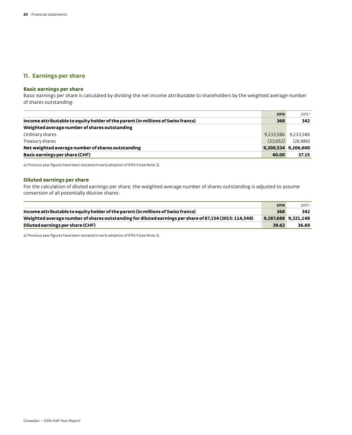# **11. Earnings per share**

# **Basic earnings per share**

Basic earnings per share is calculated by dividing the net income attributable to shareholders by the weighted average number of shares outstanding:

|                                                                                  | 2016     | 2015 <sup>a</sup>   |
|----------------------------------------------------------------------------------|----------|---------------------|
| Income attributable to equity holder of the parent (in millions of Swiss francs) | 368      | 342                 |
| Weighted average number of shares outstanding                                    |          |                     |
| Ordinary shares                                                                  |          | 9,233,586 9,233,586 |
| Treasury shares                                                                  | (33.052) | (26,986)            |
| Net weighted average number of shares outstanding                                |          | 9,200,534 9,206,600 |
| Basic earnings per share (CHF)                                                   | 40.00    | 37.15               |

a) Previous year figures have been restated in early adoption of IFRS 9 (see Note 3).

#### **Diluted earnings per share**

For the calculation of diluted earnings per share, the weighted average number of shares outstanding is adjusted to assume conversion of all potentially dilutive shares:

|                                                                                                        | 2016  | 2015 <sup>a</sup>   |
|--------------------------------------------------------------------------------------------------------|-------|---------------------|
| Income attributable to equity holder of the parent (in millions of Swiss francs)                       | 368   | 342                 |
| Weighted average number of shares outstanding for diluted earnings per share of 87,154 (2015: 114,548) |       | 9,287,688 9,321,148 |
| Diluted earnings per share (CHF)                                                                       | 39.62 | 36.69               |

a) Previous year figures have been restated in early adoption of IFRS 9 (see Note 3).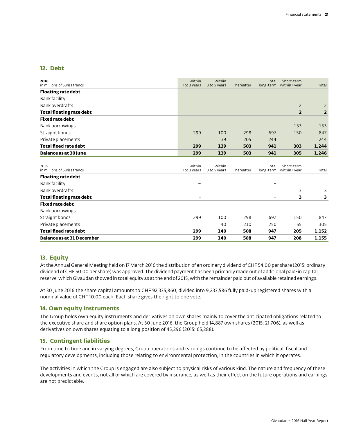# **12. Debt**

| 2016<br>in millions of Swiss francs | Within<br>1 to 3 years   | Within<br>3 to 5 years | Thereafter | Total                    | Short-term<br>long-term within 1 year | Total          |
|-------------------------------------|--------------------------|------------------------|------------|--------------------------|---------------------------------------|----------------|
| <b>Floating rate debt</b>           |                          |                        |            |                          |                                       |                |
| Bank facility                       |                          |                        |            |                          |                                       |                |
| <b>Bank overdrafts</b>              |                          |                        |            |                          | $\overline{2}$                        | $\overline{2}$ |
| <b>Total floating rate debt</b>     |                          |                        |            |                          | $\overline{2}$                        | $\overline{2}$ |
| <b>Fixed rate debt</b>              |                          |                        |            |                          |                                       |                |
| Bank borrowings                     |                          |                        |            |                          | 153                                   | 153            |
| Straight bonds                      | 299                      | 100                    | 298        | 697                      | 150                                   | 847            |
| Private placements                  |                          | 39                     | 205        | 244                      |                                       | 244            |
| <b>Total fixed rate debt</b>        | 299                      | 139                    | 503        | 941                      | 303                                   | 1,244          |
| Balance as at 30 June               | 299                      | 139                    | 503        | 941                      | 305                                   | 1,246          |
| 2015<br>in millions of Swiss francs | Within                   | Within                 | Thereafter | Total                    | Short-term<br>long-term within 1 year | Total          |
| <b>Floating rate debt</b>           | 1 to 3 years             | 3 to 5 years           |            |                          |                                       |                |
| <b>Bank facility</b>                | $\equiv$                 |                        |            |                          |                                       |                |
| <b>Bank overdrafts</b>              |                          |                        |            |                          | 3                                     | 3              |
| <b>Total floating rate debt</b>     | $\overline{\phantom{0}}$ |                        |            | $\overline{\phantom{0}}$ | 3                                     | з              |
| <b>Fixed rate debt</b>              |                          |                        |            |                          |                                       |                |
| Bank borrowings                     |                          |                        |            |                          |                                       |                |
| Straight bonds                      | 299                      | 100                    | 298        | 697                      | 150                                   | 847            |
| Private placements                  |                          | 40                     | 210        | 250                      | 55                                    | 305            |
| <b>Total fixed rate debt</b>        | 299                      | 140                    | 508        | 947                      | 205                                   | 1,152          |
| <b>Balance as at 31 December</b>    | 299                      | 140                    | 508        | 947                      | 208                                   | 1,155          |

# **13. Equity**

At the Annual General Meeting held on 17 March 2016 the distribution of an ordinary dividend of CHF 54.00 per share (2015: ordinary dividend of CHF 50.00 per share) was approved. The dividend payment has been primarily made out of additional paid-in capital reserve which Givaudan showed in total equity as at the end of 2015, with the remainder paid out of available retained earnings.

At 30 June 2016 the share capital amounts to CHF 92,335,860, divided into 9,233,586 fully paid-up registered shares with a nominal value of CHF 10.00 each. Each share gives the right to one vote.

# **14. Own equity instruments**

The Group holds own equity instruments and derivatives on own shares mainly to cover the anticipated obligations related to the executive share and share option plans. At 30 June 2016, the Group held 14,887 own shares (2015: 21,706), as well as derivatives on own shares equating to a long position of 45,296 (2015: 65,288).

# **15. Contingent liabilities**

From time to time and in varying degrees, Group operations and earnings continue to be affected by political, fiscal and regulatory developments, including those relating to environmental protection, in the countries in which it operates.

The activities in which the Group is engaged are also subject to physical risks of various kind. The nature and frequency of these developments and events, not all of which are covered by insurance, as well as their effect on the future operations and earnings are not predictable.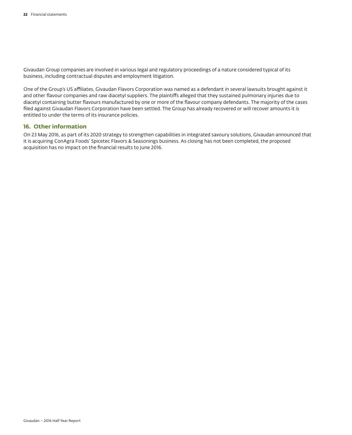Givaudan Group companies are involved in various legal and regulatory proceedings of a nature considered typical of its business, including contractual disputes and employment litigation.

One of the Group's US affiliates, Givaudan Flavors Corporation was named as a defendant in several lawsuits brought against it and other flavour companies and raw diacetyl suppliers. The plaintiffs alleged that they sustained pulmonary injuries due to diacetyl containing butter flavours manufactured by one or more of the flavour company defendants. The majority of the cases filed against Givaudan Flavors Corporation have been settled. The Group has already recovered or will recover amounts it is entitled to under the terms of its insurance policies.

# **16. Other information**

On 23 May 2016, as part of its 2020 strategy to strengthen capabilities in integrated savoury solutions, Givaudan announced that it is acquiring ConAgra Foods' Spicetec Flavors & Seasonings business. As closing has not been completed, the proposed acquisition has no impact on the financial results to June 2016.